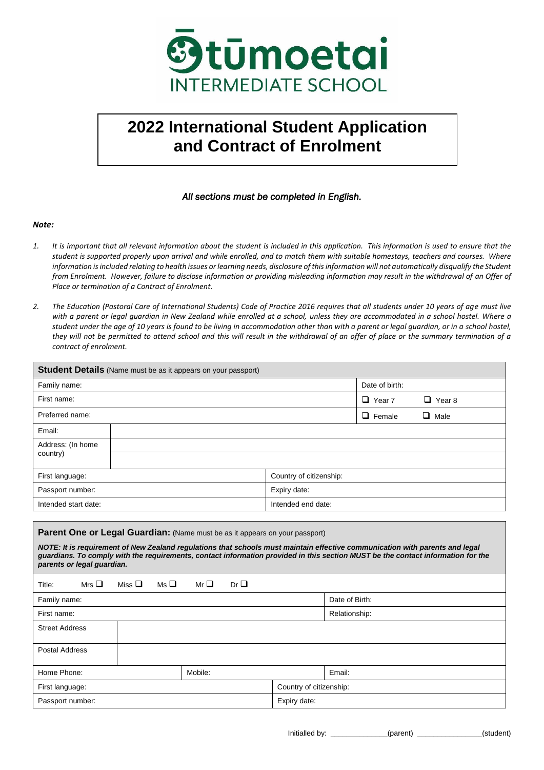

# **2022 International Student Application**  **and Contract of Enrolment**

### *All sections must be completed in English.*

#### *Note:*

- *1. It is important that all relevant information about the student is included in this application. This information is used to ensure that the student is supported properly upon arrival and while enrolled, and to match them with suitable homestays, teachers and courses. Where*  information is included relating to health issues or learning needs, disclosure of this information will not automatically disqualify the Student *from Enrolment. However, failure to disclose information or providing misleading information may result in the withdrawal of an Offer of Place or termination of a Contract of Enrolment.*
- *2. The Education (Pastoral Care of International Students) Code of Practice 2016 requires that all students under 10 years of age must live*  with a parent or legal guardian in New Zealand while enrolled at a school, unless they are accommodated in a school hostel. Where a *student under the age of 10 years is found to be living in accommodation other than with a parent or legal guardian, or in a school hostel, they will not be permitted to attend school and this will result in the withdrawal of an offer of place or the summary termination of a contract of enrolment.*

| <b>Student Details</b> (Name must be as it appears on your passport)                                                                                                                                                                                                                           |  |                         |               |           |  |  |
|------------------------------------------------------------------------------------------------------------------------------------------------------------------------------------------------------------------------------------------------------------------------------------------------|--|-------------------------|---------------|-----------|--|--|
| Family name:                                                                                                                                                                                                                                                                                   |  | Date of birth:          |               |           |  |  |
| First name:                                                                                                                                                                                                                                                                                    |  | $\Box$ Year 7           | $\Box$ Year 8 |           |  |  |
| Preferred name:                                                                                                                                                                                                                                                                                |  |                         | $\Box$ Female | Male<br>ப |  |  |
| Email:                                                                                                                                                                                                                                                                                         |  |                         |               |           |  |  |
| Address: (In home                                                                                                                                                                                                                                                                              |  |                         |               |           |  |  |
| country)                                                                                                                                                                                                                                                                                       |  |                         |               |           |  |  |
| First language:                                                                                                                                                                                                                                                                                |  | Country of citizenship: |               |           |  |  |
| Passport number:                                                                                                                                                                                                                                                                               |  | Expiry date:            |               |           |  |  |
| Intended start date:                                                                                                                                                                                                                                                                           |  | Intended end date:      |               |           |  |  |
|                                                                                                                                                                                                                                                                                                |  |                         |               |           |  |  |
| Parent One or Legal Guardian: (Name must be as it appears on your passport)                                                                                                                                                                                                                    |  |                         |               |           |  |  |
| NOTE: It is requirement of New Zealand regulations that schools must maintain effective communication with parents and legal<br>guardians. To comply with the requirements, contact information provided in this section MUST be the contact information for the<br>parents or legal guardian. |  |                         |               |           |  |  |

| Title:                                     | Mrs $\square$                    | Miss $\Box$ Ms $\Box$ |                   | Mr $\Box$ | Dr |  |                |
|--------------------------------------------|----------------------------------|-----------------------|-------------------|-----------|----|--|----------------|
| Family name:                               |                                  |                       |                   |           |    |  | Date of Birth: |
| Relationship:<br>First name:               |                                  |                       |                   |           |    |  |                |
| <b>Street Address</b>                      |                                  |                       |                   |           |    |  |                |
| Postal Address                             |                                  |                       |                   |           |    |  |                |
| Home Phone:                                |                                  |                       | Email:<br>Mobile: |           |    |  |                |
| Country of citizenship:<br>First language: |                                  |                       |                   |           |    |  |                |
|                                            | Expiry date:<br>Passport number: |                       |                   |           |    |  |                |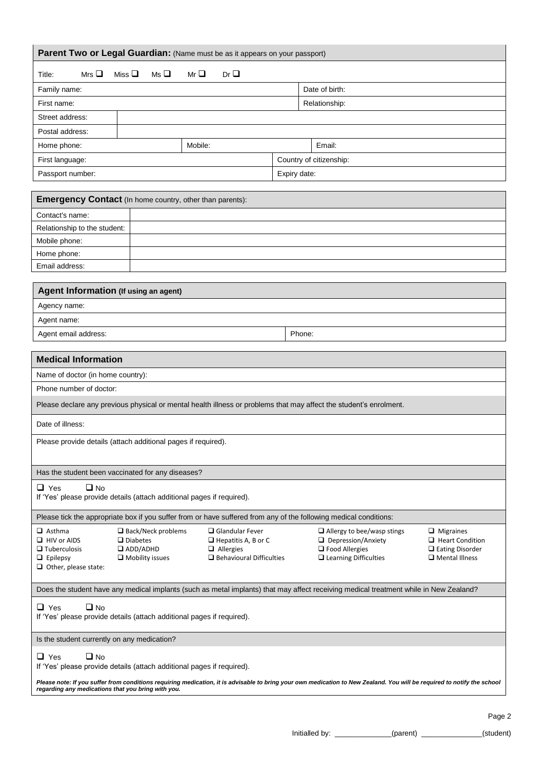| Parent Two or Legal Guardian: (Name must be as it appears on your passport)                                                                                                                                     |                                                                                                             |                                                                                                                                                                         |                                                                                                  |  |
|-----------------------------------------------------------------------------------------------------------------------------------------------------------------------------------------------------------------|-------------------------------------------------------------------------------------------------------------|-------------------------------------------------------------------------------------------------------------------------------------------------------------------------|--------------------------------------------------------------------------------------------------|--|
| Ms <sup>T</sup><br>Mrs $\Box$<br>Miss $\square$<br>Title:                                                                                                                                                       | Mr $\square$<br>Dr <sub>Q</sub>                                                                             |                                                                                                                                                                         |                                                                                                  |  |
| Family name:                                                                                                                                                                                                    |                                                                                                             | Date of birth:                                                                                                                                                          |                                                                                                  |  |
| First name:                                                                                                                                                                                                     |                                                                                                             | Relationship:                                                                                                                                                           |                                                                                                  |  |
| Street address:                                                                                                                                                                                                 |                                                                                                             |                                                                                                                                                                         |                                                                                                  |  |
| Postal address:                                                                                                                                                                                                 |                                                                                                             |                                                                                                                                                                         |                                                                                                  |  |
| Home phone:                                                                                                                                                                                                     | Mobile:                                                                                                     | Email:                                                                                                                                                                  |                                                                                                  |  |
| First language:                                                                                                                                                                                                 |                                                                                                             | Country of citizenship:                                                                                                                                                 |                                                                                                  |  |
| Passport number:                                                                                                                                                                                                |                                                                                                             | Expiry date:                                                                                                                                                            |                                                                                                  |  |
| <b>Emergency Contact</b> (In home country, other than parents):                                                                                                                                                 |                                                                                                             |                                                                                                                                                                         |                                                                                                  |  |
| Contact's name:                                                                                                                                                                                                 |                                                                                                             |                                                                                                                                                                         |                                                                                                  |  |
| Relationship to the student:                                                                                                                                                                                    |                                                                                                             |                                                                                                                                                                         |                                                                                                  |  |
| Mobile phone:                                                                                                                                                                                                   |                                                                                                             |                                                                                                                                                                         |                                                                                                  |  |
| Home phone:                                                                                                                                                                                                     |                                                                                                             |                                                                                                                                                                         |                                                                                                  |  |
| Email address:                                                                                                                                                                                                  |                                                                                                             |                                                                                                                                                                         |                                                                                                  |  |
|                                                                                                                                                                                                                 |                                                                                                             |                                                                                                                                                                         |                                                                                                  |  |
| Agent Information (If using an agent)                                                                                                                                                                           |                                                                                                             |                                                                                                                                                                         |                                                                                                  |  |
| Agency name:<br>Agent name:                                                                                                                                                                                     |                                                                                                             |                                                                                                                                                                         |                                                                                                  |  |
| Agent email address:                                                                                                                                                                                            |                                                                                                             | Phone:                                                                                                                                                                  |                                                                                                  |  |
|                                                                                                                                                                                                                 |                                                                                                             |                                                                                                                                                                         |                                                                                                  |  |
| <b>Medical Information</b>                                                                                                                                                                                      |                                                                                                             |                                                                                                                                                                         |                                                                                                  |  |
| Name of doctor (in home country):                                                                                                                                                                               |                                                                                                             |                                                                                                                                                                         |                                                                                                  |  |
| Phone number of doctor:                                                                                                                                                                                         |                                                                                                             |                                                                                                                                                                         |                                                                                                  |  |
| Please declare any previous physical or mental health illness or problems that may affect the student's enrolment.                                                                                              |                                                                                                             |                                                                                                                                                                         |                                                                                                  |  |
| Date of illness:                                                                                                                                                                                                |                                                                                                             |                                                                                                                                                                         |                                                                                                  |  |
| Please provide details (attach additional pages if required).                                                                                                                                                   |                                                                                                             |                                                                                                                                                                         |                                                                                                  |  |
| Has the student been vaccinated for any diseases?                                                                                                                                                               |                                                                                                             |                                                                                                                                                                         |                                                                                                  |  |
| $\Box$ No<br>$\Box$ Yes<br>If 'Yes' please provide details (attach additional pages if required).                                                                                                               |                                                                                                             |                                                                                                                                                                         |                                                                                                  |  |
| Please tick the appropriate box if you suffer from or have suffered from any of the following medical conditions:                                                                                               |                                                                                                             |                                                                                                                                                                         |                                                                                                  |  |
| $\square$ Back/Neck problems<br>$\Box$ Asthma<br>$\Box$ HIV or AIDS<br>$\Box$ Diabetes<br>$\Box$ ADD/ADHD<br>$\square$ Tuberculosis<br>$\Box$ Epilepsy<br>$\Box$ Mobility issues<br>$\Box$ Other, please state: | $\Box$ Glandular Fever<br>$\Box$ Hepatitis A, B or C<br>$\Box$ Allergies<br>$\Box$ Behavioural Difficulties | $\Box$ Allergy to bee/wasp stings<br>$\Box$ Depression/Anxiety<br>$\Box$ Food Allergies<br>$\Box$ Learning Difficulties                                                 | $\Box$ Migraines<br>$\Box$ Heart Condition<br>$\Box$ Eating Disorder<br>$\square$ Mental Illness |  |
| Does the student have any medical implants (such as metal implants) that may affect receiving medical treatment while in New Zealand?                                                                           |                                                                                                             |                                                                                                                                                                         |                                                                                                  |  |
| $\Box$ No<br>$\Box$ Yes<br>If 'Yes' please provide details (attach additional pages if required).                                                                                                               |                                                                                                             |                                                                                                                                                                         |                                                                                                  |  |
| Is the student currently on any medication?                                                                                                                                                                     |                                                                                                             |                                                                                                                                                                         |                                                                                                  |  |
| $\Box$ Yes<br>$\Box$ No<br>If 'Yes' please provide details (attach additional pages if required).                                                                                                               |                                                                                                             |                                                                                                                                                                         |                                                                                                  |  |
| regarding any medications that you bring with you.                                                                                                                                                              |                                                                                                             | Please note: If you suffer from conditions requiring medication, it is advisable to bring your own medication to New Zealand. You will be required to notify the school |                                                                                                  |  |

Page 2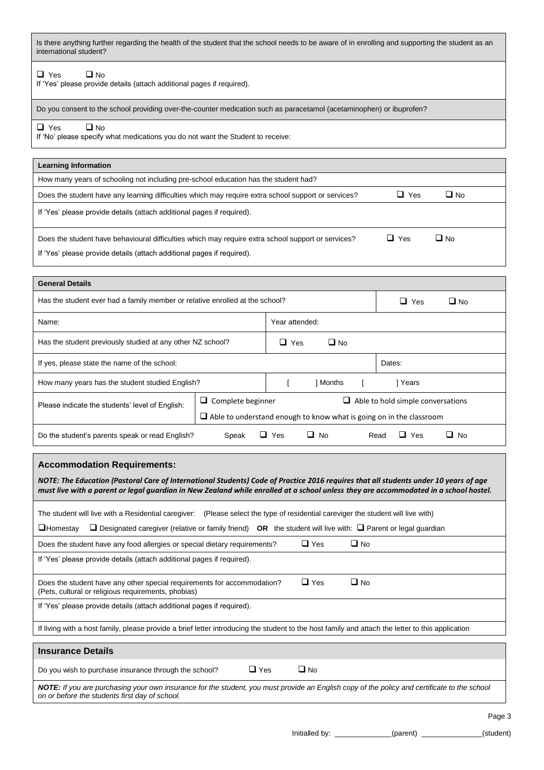| Is there anything further regarding the health of the student that the school needs to be aware of in enrolling and supporting the student as an |
|--------------------------------------------------------------------------------------------------------------------------------------------------|
| international student?                                                                                                                           |

### ❑ Yes ❑ No

If 'Yes' please provide details (attach additional pages if required).

Do you consent to the school providing over-the-counter medication such as paracetamol (acetaminophen) or ibuprofen?

#### ❑ Yes ❑ No

If 'No' please specify what medications you do not want the Student to receive:

| <b>Learning Information</b>                                                                                                                                                  |            |           |
|------------------------------------------------------------------------------------------------------------------------------------------------------------------------------|------------|-----------|
| How many years of schooling not including pre-school education has the student had?                                                                                          |            |           |
| Does the student have any learning difficulties which may require extra school support or services?                                                                          | $\Box$ Yes | $\Box$ No |
| If 'Yes' please provide details (attach additional pages if required).                                                                                                       |            |           |
| Does the student have behavioural difficulties which may require extra school support or services?<br>If 'Yes' please provide details (attach additional pages if required). | $\Box$ Yes | $\Box$ No |

| <b>General Details</b>                                                       |                                                                            |           |                |        |                                          |  |  |
|------------------------------------------------------------------------------|----------------------------------------------------------------------------|-----------|----------------|--------|------------------------------------------|--|--|
| Has the student ever had a family member or relative enrolled at the school? |                                                                            |           |                |        | ப<br>Yes<br>∐ No                         |  |  |
| Name:                                                                        |                                                                            |           | Year attended: |        |                                          |  |  |
| Has the student previously studied at any other NZ school?                   | $\Box$ Yes                                                                 | $\Box$ No |                |        |                                          |  |  |
| If yes, please state the name of the school:                                 |                                                                            |           |                | Dates: |                                          |  |  |
| How many years has the student studied English?                              |                                                                            | 1 Months  |                | Years  |                                          |  |  |
| Please indicate the students' level of English:                              | $\Box$ Complete beginner                                                   |           |                |        | $\Box$ Able to hold simple conversations |  |  |
|                                                                              | $\Box$ Able to understand enough to know what is going on in the classroom |           |                |        |                                          |  |  |
| Do the student's parents speak or read English?<br>- 1<br>Speak              |                                                                            |           | No.<br>ப       |        | Yes<br>$\sqcup$<br>No<br>Read<br>ப       |  |  |

#### **Accommodation Requirements:**

*NOTE: The Education (Pastoral Care of International Students) Code of Practice 2016 requires that all students under 10 years of age must live with a parent or legal guardian in New Zealand while enrolled at a school unless they are accommodated in a school hostel.*

The student will live with a Residential caregiver: (Please select the type of residential careviger the student will live with)

| $\Box$ Homestay $\Box$ Designated caregiver (relative or family friend) OR the student will live with: $\Box$ Parent or legal guardian |  |  |
|----------------------------------------------------------------------------------------------------------------------------------------|--|--|
|                                                                                                                                        |  |  |

| Does the student have any food allergies or special dietary requirements?                                                                        |            | $\Box$ Yes | ∐ No |
|--------------------------------------------------------------------------------------------------------------------------------------------------|------------|------------|------|
| If 'Yes' please provide details (attach additional pages if required).                                                                           |            |            |      |
| Does the student have any other special requirements for accommodation?<br>(Pets, cultural or religious requirements, phobias)                   |            | $\Box$ Yes | ∐ No |
| If 'Yes' please provide details (attach additional pages if required).                                                                           |            |            |      |
| If living with a host family, please provide a brief letter introducing the student to the host family and attach the letter to this application |            |            |      |
|                                                                                                                                                  |            |            |      |
| <b>Insurance Details</b>                                                                                                                         |            |            |      |
| Do you wish to purchase insurance through the school?                                                                                            | $\Box$ Yes | $\Box$ No  |      |

*NOTE: If you are purchasing your own insurance for the student, you must provide an English copy of the policy and certificate to the school on or before the students first day of school.*

Initialled by: \_\_\_\_\_\_\_\_\_\_\_\_\_\_(parent) \_\_\_\_\_\_\_\_\_\_\_\_\_\_\_(student)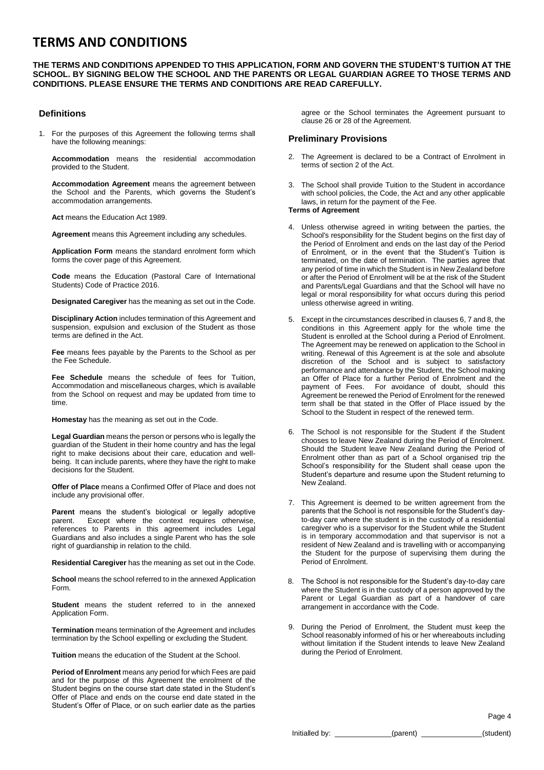# **TERMS AND CONDITIONS**

#### **THE TERMS AND CONDITIONS APPENDED TO THIS APPLICATION, FORM AND GOVERN THE STUDENT'S TUITION AT THE SCHOOL. BY SIGNING BELOW THE SCHOOL AND THE PARENTS OR LEGAL GUARDIAN AGREE TO THOSE TERMS AND CONDITIONS. PLEASE ENSURE THE TERMS AND CONDITIONS ARE READ CAREFULLY.**

#### **Definitions**

1. For the purposes of this Agreement the following terms shall have the following meanings:

**Accommodation** means the residential accommodation provided to the Student.

**Accommodation Agreement** means the agreement between the School and the Parents, which governs the Student's accommodation arrangements.

**Act** means the Education Act 1989.

**Agreement** means this Agreement including any schedules.

**Application Form** means the standard enrolment form which forms the cover page of this Agreement.

**Code** means the Education (Pastoral Care of International Students) Code of Practice 2016.

**Designated Caregiver** has the meaning as set out in the Code.

**Disciplinary Action** includes termination of this Agreement and suspension, expulsion and exclusion of the Student as those terms are defined in the Act.

**Fee** means fees payable by the Parents to the School as per the Fee Schedule.

**Fee Schedule** means the schedule of fees for Tuition, Accommodation and miscellaneous charges, which is available from the School on request and may be updated from time to time.

**Homestay** has the meaning as set out in the Code.

**Legal Guardian** means the person or persons who is legally the guardian of the Student in their home country and has the legal right to make decisions about their care, education and wellbeing. It can include parents, where they have the right to make decisions for the Student.

**Offer of Place** means a Confirmed Offer of Place and does not include any provisional offer.

**Parent** means the student's biological or legally adoptive parent. Except where the context requires otherwise, references to Parents in this agreement includes Legal Guardians and also includes a single Parent who has the sole right of guardianship in relation to the child.

**Residential Caregiver** has the meaning as set out in the Code.

**School** means the school referred to in the annexed Application Form.

**Student** means the student referred to in the annexed Application Form.

**Termination** means termination of the Agreement and includes termination by the School expelling or excluding the Student.

**Tuition** means the education of the Student at the School.

**Period of Enrolment** means any period for which Fees are paid and for the purpose of this Agreement the enrolment of the Student begins on the course start date stated in the Student's Offer of Place and ends on the course end date stated in the Student's Offer of Place, or on such earlier date as the parties

agree or the School terminates the Agreement pursuant to clause 26 or 28 of the Agreement.

#### **Preliminary Provisions**

- 2. The Agreement is declared to be a Contract of Enrolment in terms of section 2 of the Act.
- 3. The School shall provide Tuition to the Student in accordance with school policies, the Code, the Act and any other applicable laws, in return for the payment of the Fee.

#### **Terms of Agreement**

- 4. Unless otherwise agreed in writing between the parties, the School's responsibility for the Student begins on the first day of the Period of Enrolment and ends on the last day of the Period of Enrolment, or in the event that the Student's Tuition is terminated, on the date of termination. The parties agree that any period of time in which the Student is in New Zealand before or after the Period of Enrolment will be at the risk of the Student and Parents/Legal Guardians and that the School will have no legal or moral responsibility for what occurs during this period unless otherwise agreed in writing.
- 5. Except in the circumstances described in clauses 6, 7 and 8, the conditions in this Agreement apply for the whole time the Student is enrolled at the School during a Period of Enrolment. The Agreement may be renewed on application to the School in writing. Renewal of this Agreement is at the sole and absolute discretion of the School and is subject to satisfactory performance and attendance by the Student, the School making an Offer of Place for a further Period of Enrolment and the payment of Fees. For avoidance of doubt, should this Agreement be renewed the Period of Enrolment for the renewed term shall be that stated in the Offer of Place issued by the School to the Student in respect of the renewed term.
- 6. The School is not responsible for the Student if the Student chooses to leave New Zealand during the Period of Enrolment. Should the Student leave New Zealand during the Period of Enrolment other than as part of a School organised trip the School's responsibility for the Student shall cease upon the Student's departure and resume upon the Student returning to New Zealand.
- 7. This Agreement is deemed to be written agreement from the parents that the School is not responsible for the Student's dayto-day care where the student is in the custody of a residential caregiver who is a supervisor for the Student while the Student is in temporary accommodation and that supervisor is not a resident of New Zealand and is travelling with or accompanying the Student for the purpose of supervising them during the Period of Enrolment.
- 8. The School is not responsible for the Student's day-to-day care where the Student is in the custody of a person approved by the Parent or Legal Guardian as part of a handover of care arrangement in accordance with the Code.
- 9. During the Period of Enrolment, the Student must keep the School reasonably informed of his or her whereabouts including without limitation if the Student intends to leave New Zealand during the Period of Enrolment.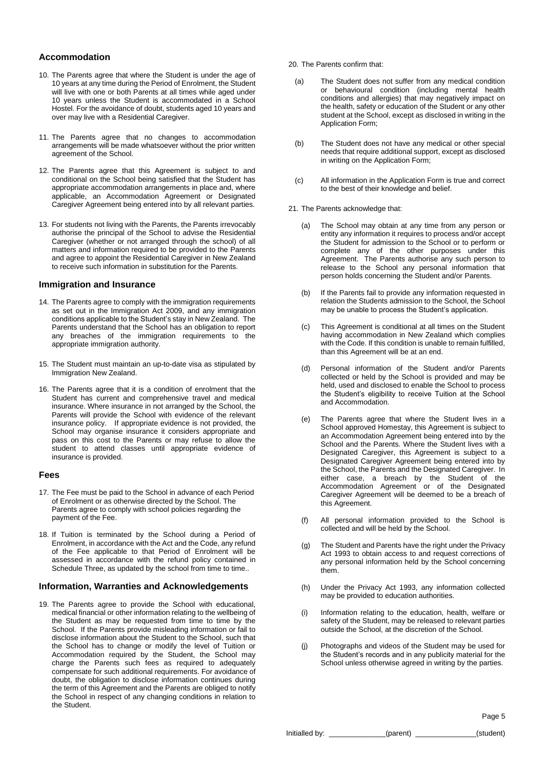#### **Accommodation**

- 10. The Parents agree that where the Student is under the age of 10 years at any time during the Period of Enrolment, the Student will live with one or both Parents at all times while aged under 10 years unless the Student is accommodated in a School Hostel. For the avoidance of doubt, students aged 10 years and over may live with a Residential Caregiver.
- 11. The Parents agree that no changes to accommodation arrangements will be made whatsoever without the prior written agreement of the School.
- 12. The Parents agree that this Agreement is subject to and conditional on the School being satisfied that the Student has appropriate accommodation arrangements in place and, where applicable, an Accommodation Agreement or Designated Caregiver Agreement being entered into by all relevant parties.
- 13. For students not living with the Parents, the Parents irrevocably authorise the principal of the School to advise the Residential Caregiver (whether or not arranged through the school) of all matters and information required to be provided to the Parents and agree to appoint the Residential Caregiver in New Zealand to receive such information in substitution for the Parents.

#### **Immigration and Insurance**

- 14. The Parents agree to comply with the immigration requirements as set out in the Immigration Act 2009, and any immigration conditions applicable to the Student's stay in New Zealand. The Parents understand that the School has an obligation to report any breaches of the immigration requirements to the appropriate immigration authority.
- 15. The Student must maintain an up-to-date visa as stipulated by Immigration New Zealand.
- 16. The Parents agree that it is a condition of enrolment that the Student has current and comprehensive travel and medical insurance. Where insurance in not arranged by the School, the Parents will provide the School with evidence of the relevant insurance policy. If appropriate evidence is not provided, the School may organise insurance it considers appropriate and pass on this cost to the Parents or may refuse to allow the student to attend classes until appropriate evidence of insurance is provided.

#### **Fees**

- 17. The Fee must be paid to the School in advance of each Period of Enrolment or as otherwise directed by the School. The Parents agree to comply with school policies regarding the payment of the Fee.
- 18. If Tuition is terminated by the School during a Period of Enrolment, in accordance with the Act and the Code, any refund of the Fee applicable to that Period of Enrolment will be assessed in accordance with the refund policy contained in Schedule Three, as updated by the school from time to time..

#### **Information, Warranties and Acknowledgements**

19. The Parents agree to provide the School with educational, medical financial or other information relating to the wellbeing of the Student as may be requested from time to time by the School. If the Parents provide misleading information or fail to disclose information about the Student to the School, such that the School has to change or modify the level of Tuition or Accommodation required by the Student, the School may charge the Parents such fees as required to adequately compensate for such additional requirements. For avoidance of doubt, the obligation to disclose information continues during the term of this Agreement and the Parents are obliged to notify the School in respect of any changing conditions in relation to the Student.

20. The Parents confirm that:

- (a) The Student does not suffer from any medical condition or behavioural condition (including mental health conditions and allergies) that may negatively impact on the health, safety or education of the Student or any other student at the School, except as disclosed in writing in the Application Form;
- (b) The Student does not have any medical or other special needs that require additional support, except as disclosed in writing on the Application Form;
- (c) All information in the Application Form is true and correct to the best of their knowledge and belief.
- 21. The Parents acknowledge that:
	- (a) The School may obtain at any time from any person or entity any information it requires to process and/or accept the Student for admission to the School or to perform or complete any of the other purposes under this Agreement. The Parents authorise any such person to release to the School any personal information that person holds concerning the Student and/or Parents.
	- (b) If the Parents fail to provide any information requested in relation the Students admission to the School, the School may be unable to process the Student's application.
	- (c) This Agreement is conditional at all times on the Student having accommodation in New Zealand which complies with the Code. If this condition is unable to remain fulfilled, than this Agreement will be at an end.
	- (d) Personal information of the Student and/or Parents collected or held by the School is provided and may be held, used and disclosed to enable the School to process the Student's eligibility to receive Tuition at the School and Accommodation.
	- (e) The Parents agree that where the Student lives in a School approved Homestay, this Agreement is subject to an Accommodation Agreement being entered into by the School and the Parents. Where the Student lives with a Designated Caregiver, this Agreement is subject to a Designated Caregiver Agreement being entered into by the School, the Parents and the Designated Caregiver. In either case, a breach by the Student of the Accommodation Agreement or of the Designated Caregiver Agreement will be deemed to be a breach of this Agreement.
	- (f) All personal information provided to the School is collected and will be held by the School.
	- (g) The Student and Parents have the right under the Privacy Act 1993 to obtain access to and request corrections of any personal information held by the School concerning them.
	- (h) Under the Privacy Act 1993, any information collected may be provided to education authorities.
	- (i) Information relating to the education, health, welfare or safety of the Student, may be released to relevant parties outside the School, at the discretion of the School.
	- (j) Photographs and videos of the Student may be used for the Student's records and in any publicity material for the School unless otherwise agreed in writing by the parties.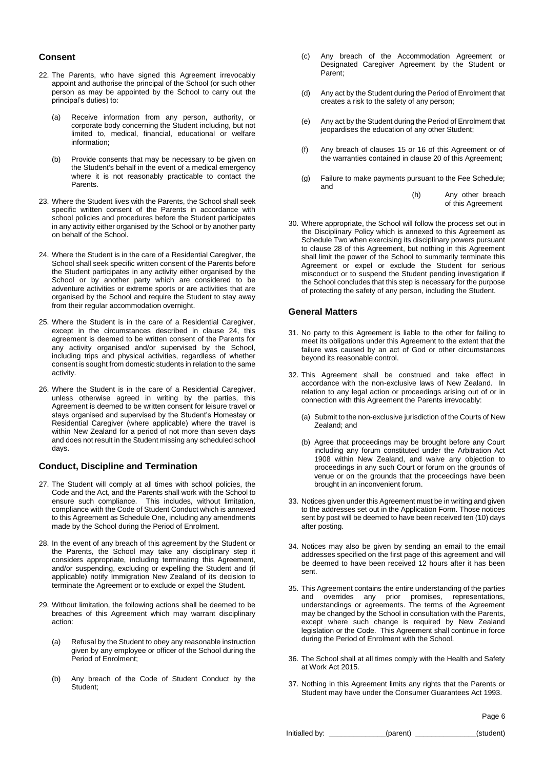#### **Consent**

- 22. The Parents, who have signed this Agreement irrevocably appoint and authorise the principal of the School (or such other person as may be appointed by the School to carry out the principal's duties) to:
	- (a) Receive information from any person, authority, or corporate body concerning the Student including, but not limited to, medical, financial, educational or welfare information;
	- (b) Provide consents that may be necessary to be given on the Student's behalf in the event of a medical emergency where it is not reasonably practicable to contact the Parents.
- 23. Where the Student lives with the Parents, the School shall seek specific written consent of the Parents in accordance with school policies and procedures before the Student participates in any activity either organised by the School or by another party on behalf of the School.
- 24. Where the Student is in the care of a Residential Caregiver, the School shall seek specific written consent of the Parents before the Student participates in any activity either organised by the School or by another party which are considered to be adventure activities or extreme sports or are activities that are organised by the School and require the Student to stay away from their regular accommodation overnight.
- 25. Where the Student is in the care of a Residential Caregiver, except in the circumstances described in clause 24, this agreement is deemed to be written consent of the Parents for any activity organised and/or supervised by the School, including trips and physical activities, regardless of whether consent is sought from domestic students in relation to the same activity.
- 26. Where the Student is in the care of a Residential Caregiver, unless otherwise agreed in writing by the parties, this Agreement is deemed to be written consent for leisure travel or stays organised and supervised by the Student's Homestay or Residential Caregiver (where applicable) where the travel is within New Zealand for a period of not more than seven days and does not result in the Student missing any scheduled school days.

#### **Conduct, Discipline and Termination**

- 27. The Student will comply at all times with school policies, the Code and the Act, and the Parents shall work with the School to ensure such compliance. This includes, without limitation, compliance with the Code of Student Conduct which is annexed to this Agreement as Schedule One, including any amendments made by the School during the Period of Enrolment.
- 28. In the event of any breach of this agreement by the Student or the Parents, the School may take any disciplinary step it considers appropriate, including terminating this Agreement, and/or suspending, excluding or expelling the Student and (if applicable) notify Immigration New Zealand of its decision to terminate the Agreement or to exclude or expel the Student.
- 29. Without limitation, the following actions shall be deemed to be breaches of this Agreement which may warrant disciplinary action:
	- (a) Refusal by the Student to obey any reasonable instruction given by any employee or officer of the School during the Period of Enrolment;
	- (b) Any breach of the Code of Student Conduct by the Student;
- (c) Any breach of the Accommodation Agreement or Designated Caregiver Agreement by the Student or Parent;
- (d) Any act by the Student during the Period of Enrolment that creates a risk to the safety of any person;
- (e) Any act by the Student during the Period of Enrolment that jeopardises the education of any other Student;
- (f) Any breach of clauses 15 or 16 of this Agreement or of the warranties contained in clause 20 of this Agreement;
- (g) Failure to make payments pursuant to the Fee Schedule; and

(h) Any other breach of this Agreement

30. Where appropriate, the School will follow the process set out in the Disciplinary Policy which is annexed to this Agreement as Schedule Two when exercising its disciplinary powers pursuant to clause 28 of this Agreement, but nothing in this Agreement shall limit the power of the School to summarily terminate this Agreement or expel or exclude the Student for serious misconduct or to suspend the Student pending investigation if the School concludes that this step is necessary for the purpose of protecting the safety of any person, including the Student.

#### **General Matters**

- 31. No party to this Agreement is liable to the other for failing to meet its obligations under this Agreement to the extent that the failure was caused by an act of God or other circumstances beyond its reasonable control.
- 32. This Agreement shall be construed and take effect in accordance with the non-exclusive laws of New Zealand. In relation to any legal action or proceedings arising out of or in connection with this Agreement the Parents irrevocably:
	- (a) Submit to the non-exclusive jurisdiction of the Courts of New Zealand; and
	- (b) Agree that proceedings may be brought before any Court including any forum constituted under the Arbitration Act 1908 within New Zealand, and waive any objection to proceedings in any such Court or forum on the grounds of venue or on the grounds that the proceedings have been brought in an inconvenient forum.
- 33. Notices given under this Agreement must be in writing and given to the addresses set out in the Application Form. Those notices sent by post will be deemed to have been received ten (10) days after posting.
- 34. Notices may also be given by sending an email to the email addresses specified on the first page of this agreement and will be deemed to have been received 12 hours after it has been sent.
- 35. This Agreement contains the entire understanding of the parties and overrides any prior promises, representations, understandings or agreements. The terms of the Agreement may be changed by the School in consultation with the Parents, except where such change is required by New Zealand legislation or the Code. This Agreement shall continue in force during the Period of Enrolment with the School.
- 36. The School shall at all times comply with the Health and Safety at Work Act 2015.
- 37. Nothing in this Agreement limits any rights that the Parents or Student may have under the Consumer Guarantees Act 1993.

Page 6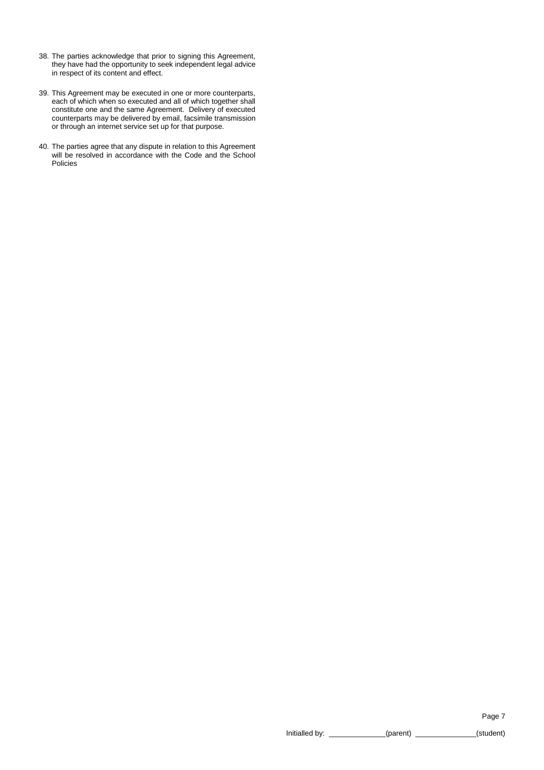- 38. The parties acknowledge that prior to signing this Agreement, they have had the opportunity to seek independent legal advice in respect of its content and effect.
- 39. This Agreement may be executed in one or more counterparts, each of which when so executed and all of which together shall constitute one and the same Agreement. Delivery of executed counterparts may be delivered by email, facsimile transmission or through an internet service set up for that purpose.
- 40. The parties agree that any dispute in relation to this Agreement will be resolved in accordance with the Code and the School Policies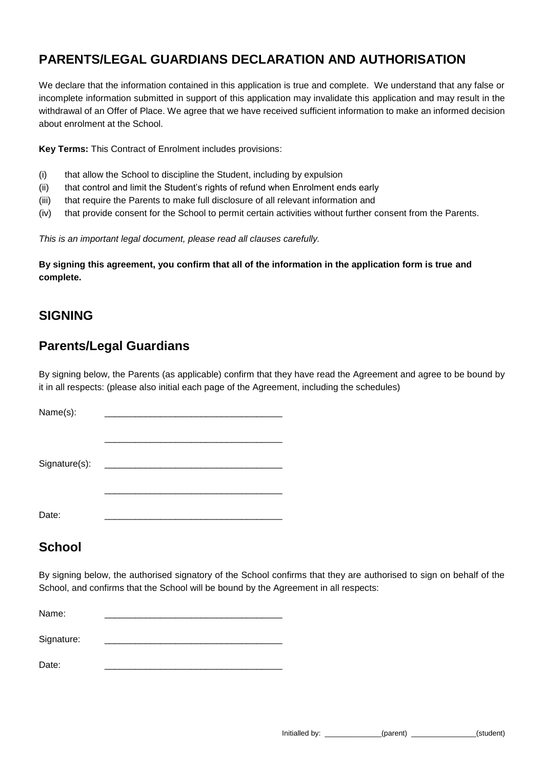# **PARENTS/LEGAL GUARDIANS DECLARATION AND AUTHORISATION**

We declare that the information contained in this application is true and complete. We understand that any false or incomplete information submitted in support of this application may invalidate this application and may result in the withdrawal of an Offer of Place. We agree that we have received sufficient information to make an informed decision about enrolment at the School.

**Key Terms:** This Contract of Enrolment includes provisions:

- (i) that allow the School to discipline the Student, including by expulsion
- (ii) that control and limit the Student's rights of refund when Enrolment ends early
- (iii) that require the Parents to make full disclosure of all relevant information and
- (iv) that provide consent for the School to permit certain activities without further consent from the Parents.

*This is an important legal document, please read all clauses carefully.*

**By signing this agreement, you confirm that all of the information in the application form is true and complete.**

# **SIGNING**

# **Parents/Legal Guardians**

By signing below, the Parents (as applicable) confirm that they have read the Agreement and agree to be bound by it in all respects: (please also initial each page of the Agreement, including the schedules)

| Name(s):      |  |
|---------------|--|
|               |  |
| Signature(s): |  |
|               |  |
| Date:         |  |

# **School**

By signing below, the authorised signatory of the School confirms that they are authorised to sign on behalf of the School, and confirms that the School will be bound by the Agreement in all respects:

Name: \_\_\_\_\_\_\_\_\_\_\_\_\_\_\_\_\_\_\_\_\_\_\_\_\_\_\_\_\_\_\_\_\_\_\_ Signature:

Date: \_\_\_\_\_\_\_\_\_\_\_\_\_\_\_\_\_\_\_\_\_\_\_\_\_\_\_\_\_\_\_\_\_\_\_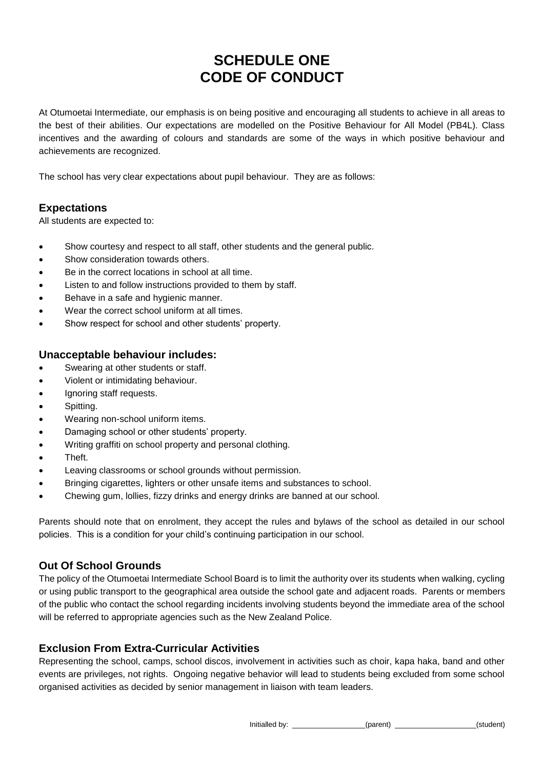# **SCHEDULE ONE CODE OF CONDUCT**

At Otumoetai Intermediate, our emphasis is on being positive and encouraging all students to achieve in all areas to the best of their abilities. Our expectations are modelled on the Positive Behaviour for All Model (PB4L). Class incentives and the awarding of colours and standards are some of the ways in which positive behaviour and achievements are recognized.

The school has very clear expectations about pupil behaviour. They are as follows:

# **Expectations**

All students are expected to:

- Show courtesy and respect to all staff, other students and the general public.
- Show consideration towards others.
- Be in the correct locations in school at all time.
- Listen to and follow instructions provided to them by staff.
- Behave in a safe and hygienic manner.
- Wear the correct school uniform at all times.
- Show respect for school and other students' property.

## **Unacceptable behaviour includes:**

- Swearing at other students or staff.
- Violent or intimidating behaviour.
- Ignoring staff requests.
- Spitting.
- Wearing non-school uniform items.
- Damaging school or other students' property.
- Writing graffiti on school property and personal clothing.
- Theft.
- Leaving classrooms or school grounds without permission.
- Bringing cigarettes, lighters or other unsafe items and substances to school.
- Chewing gum, lollies, fizzy drinks and energy drinks are banned at our school.

Parents should note that on enrolment, they accept the rules and bylaws of the school as detailed in our school policies. This is a condition for your child's continuing participation in our school.

# **Out Of School Grounds**

The policy of the Otumoetai Intermediate School Board is to limit the authority over its students when walking, cycling or using public transport to the geographical area outside the school gate and adjacent roads. Parents or members of the public who contact the school regarding incidents involving students beyond the immediate area of the school will be referred to appropriate agencies such as the New Zealand Police.

# **Exclusion From Extra-Curricular Activities**

Representing the school, camps, school discos, involvement in activities such as choir, kapa haka, band and other events are privileges, not rights. Ongoing negative behavior will lead to students being excluded from some school organised activities as decided by senior management in liaison with team leaders.

Initialled by: \_\_\_\_\_\_\_\_\_\_\_\_\_\_\_\_\_\_(parent) \_\_\_\_\_\_\_\_\_\_\_\_\_\_\_\_\_\_\_\_(student)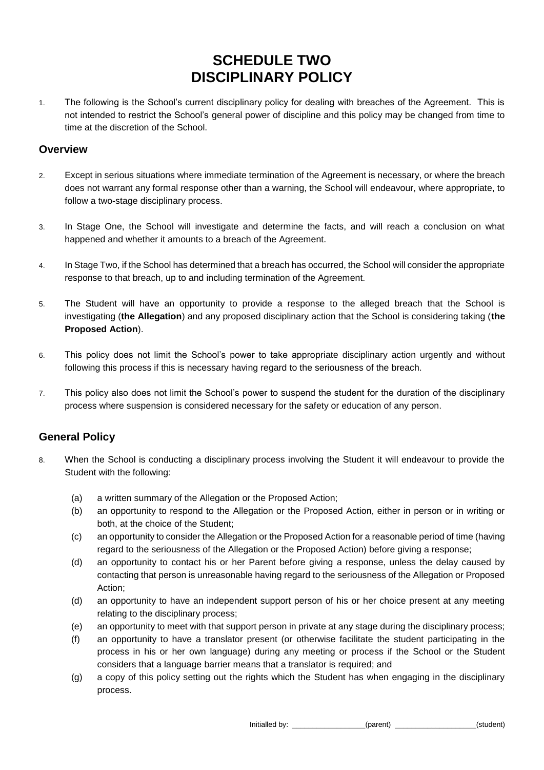# **SCHEDULE TWO DISCIPLINARY POLICY**

1. The following is the School's current disciplinary policy for dealing with breaches of the Agreement. This is not intended to restrict the School's general power of discipline and this policy may be changed from time to time at the discretion of the School.

## **Overview**

- 2. Except in serious situations where immediate termination of the Agreement is necessary, or where the breach does not warrant any formal response other than a warning, the School will endeavour, where appropriate, to follow a two-stage disciplinary process.
- 3. In Stage One, the School will investigate and determine the facts, and will reach a conclusion on what happened and whether it amounts to a breach of the Agreement.
- 4. In Stage Two, if the School has determined that a breach has occurred, the School will consider the appropriate response to that breach, up to and including termination of the Agreement.
- 5. The Student will have an opportunity to provide a response to the alleged breach that the School is investigating (**the Allegation**) and any proposed disciplinary action that the School is considering taking (**the Proposed Action**).
- 6. This policy does not limit the School's power to take appropriate disciplinary action urgently and without following this process if this is necessary having regard to the seriousness of the breach.
- 7. This policy also does not limit the School's power to suspend the student for the duration of the disciplinary process where suspension is considered necessary for the safety or education of any person.

# **General Policy**

- 8. When the School is conducting a disciplinary process involving the Student it will endeavour to provide the Student with the following:
	- (a) a written summary of the Allegation or the Proposed Action;
	- (b) an opportunity to respond to the Allegation or the Proposed Action, either in person or in writing or both, at the choice of the Student;
	- (c) an opportunity to consider the Allegation or the Proposed Action for a reasonable period of time (having regard to the seriousness of the Allegation or the Proposed Action) before giving a response;
	- (d) an opportunity to contact his or her Parent before giving a response, unless the delay caused by contacting that person is unreasonable having regard to the seriousness of the Allegation or Proposed Action;
	- (d) an opportunity to have an independent support person of his or her choice present at any meeting relating to the disciplinary process;
	- (e) an opportunity to meet with that support person in private at any stage during the disciplinary process;
	- (f) an opportunity to have a translator present (or otherwise facilitate the student participating in the process in his or her own language) during any meeting or process if the School or the Student considers that a language barrier means that a translator is required; and
	- (g) a copy of this policy setting out the rights which the Student has when engaging in the disciplinary process.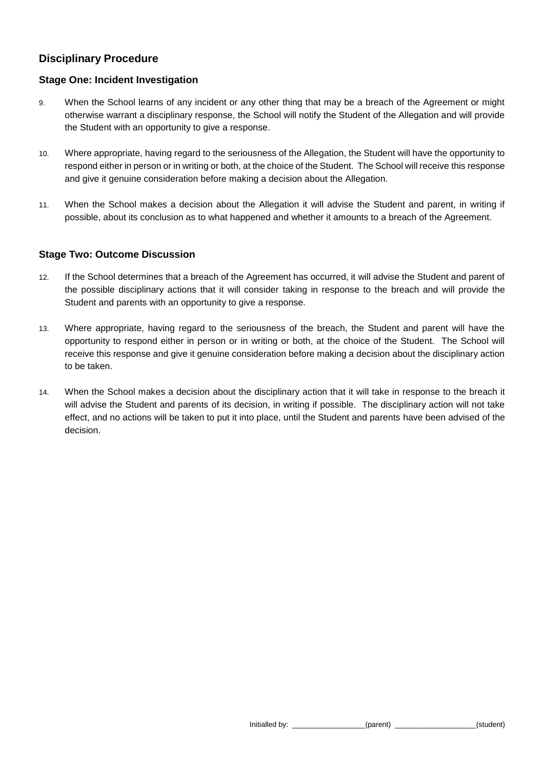# **Disciplinary Procedure**

## **Stage One: Incident Investigation**

- 9. When the School learns of any incident or any other thing that may be a breach of the Agreement or might otherwise warrant a disciplinary response, the School will notify the Student of the Allegation and will provide the Student with an opportunity to give a response.
- 10. Where appropriate, having regard to the seriousness of the Allegation, the Student will have the opportunity to respond either in person or in writing or both, at the choice of the Student. The School will receive this response and give it genuine consideration before making a decision about the Allegation.
- 11. When the School makes a decision about the Allegation it will advise the Student and parent, in writing if possible, about its conclusion as to what happened and whether it amounts to a breach of the Agreement.

### **Stage Two: Outcome Discussion**

- 12. If the School determines that a breach of the Agreement has occurred, it will advise the Student and parent of the possible disciplinary actions that it will consider taking in response to the breach and will provide the Student and parents with an opportunity to give a response.
- 13. Where appropriate, having regard to the seriousness of the breach, the Student and parent will have the opportunity to respond either in person or in writing or both, at the choice of the Student. The School will receive this response and give it genuine consideration before making a decision about the disciplinary action to be taken.
- 14. When the School makes a decision about the disciplinary action that it will take in response to the breach it will advise the Student and parents of its decision, in writing if possible. The disciplinary action will not take effect, and no actions will be taken to put it into place, until the Student and parents have been advised of the decision.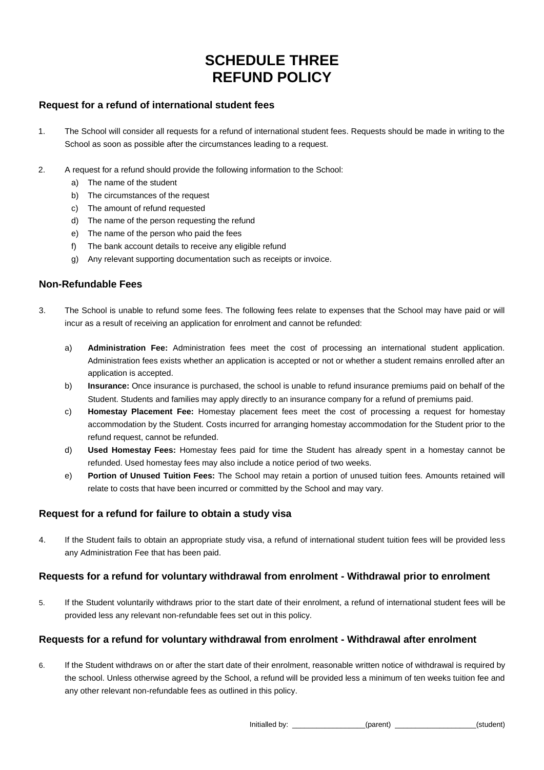# **SCHEDULE THREE REFUND POLICY**

## **Request for a refund of international student fees**

- 1. The School will consider all requests for a refund of international student fees. Requests should be made in writing to the School as soon as possible after the circumstances leading to a request.
- 2. A request for a refund should provide the following information to the School:
	- a) The name of the student
	- b) The circumstances of the request
	- c) The amount of refund requested
	- d) The name of the person requesting the refund
	- e) The name of the person who paid the fees
	- f) The bank account details to receive any eligible refund
	- g) Any relevant supporting documentation such as receipts or invoice.

### **Non-Refundable Fees**

- 3. The School is unable to refund some fees. The following fees relate to expenses that the School may have paid or will incur as a result of receiving an application for enrolment and cannot be refunded:
	- a) **Administration Fee:** Administration fees meet the cost of processing an international student application. Administration fees exists whether an application is accepted or not or whether a student remains enrolled after an application is accepted.
	- b) **Insurance:** Once insurance is purchased, the school is unable to refund insurance premiums paid on behalf of the Student. Students and families may apply directly to an insurance company for a refund of premiums paid.
	- c) **Homestay Placement Fee:** Homestay placement fees meet the cost of processing a request for homestay accommodation by the Student. Costs incurred for arranging homestay accommodation for the Student prior to the refund request, cannot be refunded.
	- d) **Used Homestay Fees:** Homestay fees paid for time the Student has already spent in a homestay cannot be refunded. Used homestay fees may also include a notice period of two weeks.
	- e) **Portion of Unused Tuition Fees:** The School may retain a portion of unused tuition fees. Amounts retained will relate to costs that have been incurred or committed by the School and may vary.

## **Request for a refund for failure to obtain a study visa**

4. If the Student fails to obtain an appropriate study visa, a refund of international student tuition fees will be provided less any Administration Fee that has been paid.

## **Requests for a refund for voluntary withdrawal from enrolment - Withdrawal prior to enrolment**

5. If the Student voluntarily withdraws prior to the start date of their enrolment, a refund of international student fees will be provided less any relevant non-refundable fees set out in this policy.

## **Requests for a refund for voluntary withdrawal from enrolment - Withdrawal after enrolment**

6. If the Student withdraws on or after the start date of their enrolment, reasonable written notice of withdrawal is required by the school. Unless otherwise agreed by the School, a refund will be provided less a minimum of ten weeks tuition fee and any other relevant non-refundable fees as outlined in this policy.

Initialled by: \_\_\_\_\_\_\_\_\_\_\_\_\_\_\_\_\_\_(parent) \_\_\_\_\_\_\_\_\_\_\_\_\_\_\_\_\_\_\_\_(student)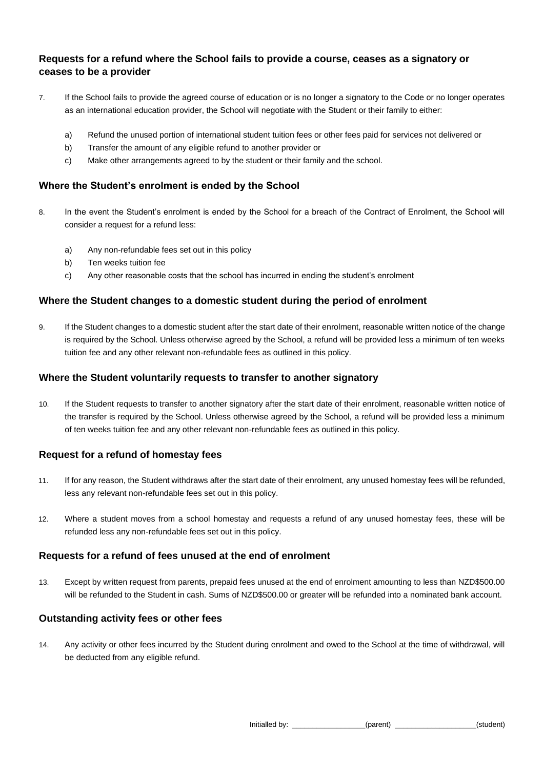## **Requests for a refund where the School fails to provide a course, ceases as a signatory or ceases to be a provider**

- 7. If the School fails to provide the agreed course of education or is no longer a signatory to the Code or no longer operates as an international education provider, the School will negotiate with the Student or their family to either:
	- a) Refund the unused portion of international student tuition fees or other fees paid for services not delivered or
	- b) Transfer the amount of any eligible refund to another provider or
	- c) Make other arrangements agreed to by the student or their family and the school.

### **Where the Student's enrolment is ended by the School**

- 8. In the event the Student's enrolment is ended by the School for a breach of the Contract of Enrolment, the School will consider a request for a refund less:
	- a) Any non-refundable fees set out in this policy
	- b) Ten weeks tuition fee
	- c) Any other reasonable costs that the school has incurred in ending the student's enrolment

### **Where the Student changes to a domestic student during the period of enrolment**

9. If the Student changes to a domestic student after the start date of their enrolment, reasonable written notice of the change is required by the School. Unless otherwise agreed by the School, a refund will be provided less a minimum of ten weeks tuition fee and any other relevant non-refundable fees as outlined in this policy.

### **Where the Student voluntarily requests to transfer to another signatory**

10. If the Student requests to transfer to another signatory after the start date of their enrolment, reasonable written notice of the transfer is required by the School. Unless otherwise agreed by the School, a refund will be provided less a minimum of ten weeks tuition fee and any other relevant non-refundable fees as outlined in this policy.

### **Request for a refund of homestay fees**

- 11. If for any reason, the Student withdraws after the start date of their enrolment, any unused homestay fees will be refunded, less any relevant non-refundable fees set out in this policy.
- 12. Where a student moves from a school homestay and requests a refund of any unused homestay fees, these will be refunded less any non-refundable fees set out in this policy.

### **Requests for a refund of fees unused at the end of enrolment**

13. Except by written request from parents, prepaid fees unused at the end of enrolment amounting to less than NZD\$500.00 will be refunded to the Student in cash. Sums of NZD\$500.00 or greater will be refunded into a nominated bank account.

### **Outstanding activity fees or other fees**

14. Any activity or other fees incurred by the Student during enrolment and owed to the School at the time of withdrawal, will be deducted from any eligible refund.

Initialled by: \_\_\_\_\_\_\_\_\_\_\_\_\_\_\_\_\_\_(parent) \_\_\_\_\_\_\_\_\_\_\_\_\_\_\_\_\_\_\_\_(student)